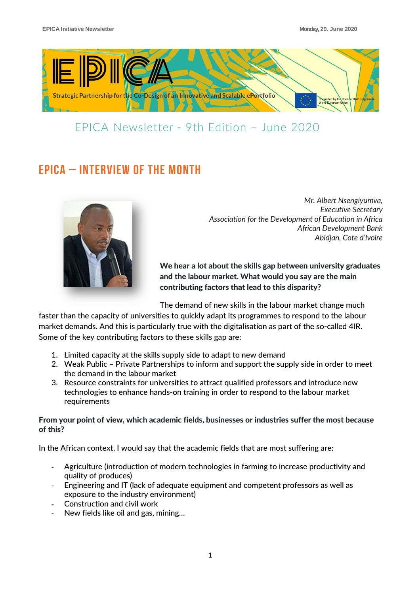

### EPICA Newsletter - 9th Edition – June 2020

# EPICA – INTERVIEW OF THE MONTH



*Mr. Albert Nsengiyumva, Executive Secretary Association for the Development of Education in Africa African Development Bank Abidjan, Cote d'Ivoire*

We hear a lot about the skills gap between university graduates and the labour market. What would you say are the main contributing factors that lead to this disparity?

The demand of new skills in the labour market change much

faster than the capacity of universities to quickly adapt its programmes to respond to the labour market demands. And this is particularly true with the digitalisation as part of the so-called 4IR. Some of the key contributing factors to these skills gap are:

- 1. Limited capacity at the skills supply side to adapt to new demand
- 2. Weak Public Private Partnerships to inform and support the supply side in order to meet the demand in the labour market
- 3. Resource constraints for universities to attract qualified professors and introduce new technologies to enhance hands-on training in order to respond to the labour market requirements

From your point of view, which academic fields, businesses or industries suffer the most because of this?

In the African context, I would say that the academic fields that are most suffering are:

- Agriculture (introduction of modern technologies in farming to increase productivity and quality of produces)
- Engineering and IT (lack of adequate equipment and competent professors as well as exposure to the industry environment)
- Construction and civil work
- New fields like oil and gas, mining...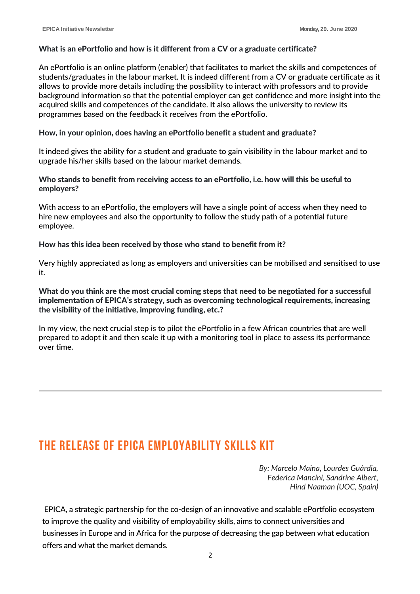#### What is an ePortfolio and how is it different from a CV or a graduate certificate?

An ePortfolio is an online platform (enabler) that facilitates to market the skills and competences of students/graduates in the labour market. It is indeed different from a CV or graduate certificate as it allows to provide more details including the possibility to interact with professors and to provide background information so that the potential employer can get confidence and more insight into the acquired skills and competences of the candidate. It also allows the university to review its programmes based on the feedback it receives from the ePortfolio.

#### How, in your opinion, does having an ePortfolio benefit a student and graduate?

It indeed gives the ability for a student and graduate to gain visibility in the labour market and to upgrade his/her skills based on the labour market demands.

Who stands to benefit from receiving access to an ePortfolio, i.e. how will this be useful to employers?

With access to an ePortfolio, the employers will have a single point of access when they need to hire new employees and also the opportunity to follow the study path of a potential future employee.

#### How has this idea been received by those who stand to benefit from it?

Very highly appreciated as long as employers and universities can be mobilised and sensitised to use it.

What do you think are the most crucial coming steps that need to be negotiated for a successful implementation of EPICA's strategy, such as overcoming technological requirements, increasing the visibility of the initiative, improving funding, etc.?

In my view, the next crucial step is to pilot the ePortfolio in a few African countries that are well prepared to adopt it and then scale it up with a monitoring tool in place to assess its performance over time.

### The Release of EPICA Employability Skills Kit

*By: Marcelo Maina, Lourdes Guàrdia, Federica Mancini, Sandrine Albert, Hind Naaman (UOC, Spain)*

EPICA, a strategic partnership for the co-design of an innovative and scalable ePortfolio ecosystem to improve the quality and visibility of employability skills, aims to connect universities and businesses in Europe and in Africa for the purpose of decreasing the gap between what education offers and what the market demands.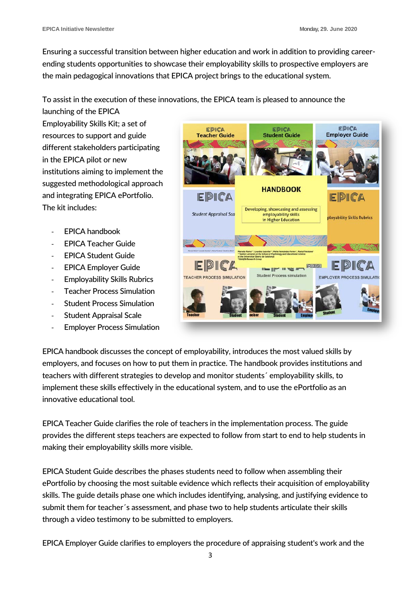Ensuring a successful transition between higher education and work in addition to providing careerending students opportunities to showcase their employability skills to prospective employers are the main pedagogical innovations that EPICA project brings to the educational system.

### To assist in the execution of these innovations, the EPICA team is pleased to announce the

launching of the EPICA Employability Skills Kit; a set of resources to support and guide different stakeholders participating in the EPICA pilot or new institutions aiming to implement the suggested methodological approach and integrating EPICA ePortfolio. The kit includes:

- EPICA handbook
- EPICA Teacher Guide
- EPICA Student Guide
- EPICA Employer Guide
- Employability Skills Rubrics
- **Teacher Process Simulation**
- **Student Process Simulation**
- Student Appraisal Scale
- **Employer Process Simulation**



EPICA handbook discusses the concept of employability, introduces the most valued skills by employers, and focuses on how to put them in practice. The handbook provides institutions and teachers with different strategies to develop and monitor students´ employability skills, to implement these skills effectively in the educational system, and to use the ePortfolio as an innovative educational tool.

EPICA Teacher Guide clarifies the role of teachers in the implementation process. The guide provides the different steps teachers are expected to follow from start to end to help students in making their employability skills more visible.

EPICA Student Guide describes the phases students need to follow when assembling their ePortfolio by choosing the most suitable evidence which reflects their acquisition of employability skills. The guide details phase one which includes identifying, analysing, and justifying evidence to submit them for teacher´s assessment, and phase two to help students articulate their skills through a video testimony to be submitted to employers.

EPICA Employer Guide clarifies to employers the procedure of appraising student's work and the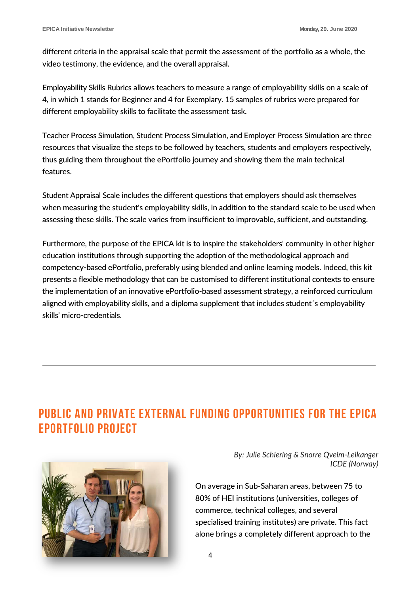different criteria in the appraisal scale that permit the assessment of the portfolio as a whole, the video testimony, the evidence, and the overall appraisal.

Employability Skills Rubrics allows teachers to measure a range of employability skills on a scale of 4, in which 1 stands for Beginner and 4 for Exemplary. 15 samples of rubrics were prepared for different employability skills to facilitate the assessment task.

Teacher Process Simulation, Student Process Simulation, and Employer Process Simulation are three resources that visualize the steps to be followed by teachers, students and employers respectively, thus guiding them throughout the ePortfolio journey and showing them the main technical features.

Student Appraisal Scale includes the different questions that employers should ask themselves when measuring the student's employability skills, in addition to the standard scale to be used when assessing these skills. The scale varies from insufficient to improvable, sufficient, and outstanding.

Furthermore, the purpose of the EPICA kit is to inspire the stakeholders' community in other higher education institutions through supporting the adoption of the methodological approach and competency-based ePortfolio, preferably using blended and online learning models. Indeed, this kit presents a flexible methodology that can be customised to different institutional contexts to ensure the implementation of an innovative ePortfolio-based assessment strategy, a reinforced curriculum aligned with employability skills, and a diploma supplement that includes student´s employability skills' micro-credentials.

# Public and private external funding opportunities for the EPICA ePortfolio project



*By: Julie Schiering & Snorre Qveim-Leikanger ICDE (Norway)*

On average in Sub-Saharan areas, between 75 to 80% of HEI institutions (universities, colleges of commerce, technical colleges, and several specialised training institutes) are private. This fact alone brings a completely different approach to the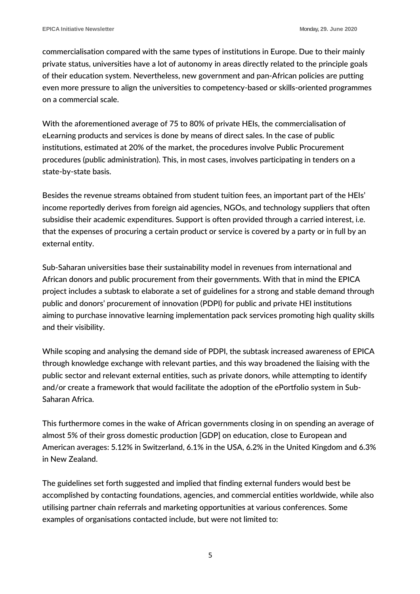commercialisation compared with the same types of institutions in Europe. Due to their mainly private status, universities have a lot of autonomy in areas directly related to the principle goals of their education system. Nevertheless, new government and pan-African policies are putting even more pressure to align the universities to competency-based or skills-oriented programmes on a commercial scale.

With the aforementioned average of 75 to 80% of private HEIs, the commercialisation of eLearning products and services is done by means of direct sales. In the case of public institutions, estimated at 20% of the market, the procedures involve Public Procurement procedures (public administration). This, in most cases, involves participating in tenders on a state-by-state basis.

Besides the revenue streams obtained from student tuition fees, an important part of the HEIs' income reportedly derives from foreign aid agencies, NGOs, and technology suppliers that often subsidise their academic expenditures. Support is often provided through a carried interest, i.e. that the expenses of procuring a certain product or service is covered by a party or in full by an external entity.

Sub-Saharan universities base their sustainability model in revenues from international and African donors and public procurement from their governments. With that in mind the EPICA project includes a subtask to elaborate a set of guidelines for a strong and stable demand through public and donors' procurement of innovation (PDPI) for public and private HEI institutions aiming to purchase innovative learning implementation pack services promoting high quality skills and their visibility.

While scoping and analysing the demand side of PDPI, the subtask increased awareness of EPICA through knowledge exchange with relevant parties, and this way broadened the liaising with the public sector and relevant external entities, such as private donors, while attempting to identify and/or create a framework that would facilitate the adoption of the ePortfolio system in Sub-Saharan Africa.

This furthermore comes in the wake of African governments closing in on spending an average of almost 5% of their gross domestic production [GDP] on education, close to European and American averages: 5.12% in Switzerland, 6.1% in the USA, 6.2% in the United Kingdom and 6.3% in New Zealand.

The guidelines set forth suggested and implied that finding external funders would best be accomplished by contacting foundations, agencies, and commercial entities worldwide, while also utilising partner chain referrals and marketing opportunities at various conferences. Some examples of organisations contacted include, but were not limited to:

5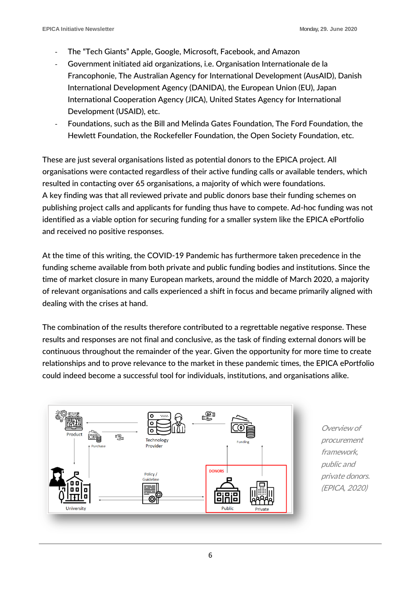- The "Tech Giants" Apple, Google, Microsoft, Facebook, and Amazon
- Government initiated aid organizations, i.e. Organisation Internationale de la Francophonie, The Australian Agency for International Development (AusAID), Danish International Development Agency (DANIDA), the European Union (EU), Japan International Cooperation Agency (JICA), United States Agency for International Development (USAID), etc.
- Foundations, such as the Bill and Melinda Gates Foundation, The Ford Foundation, the Hewlett Foundation, the Rockefeller Foundation, the Open Society Foundation, etc.

These are just several organisations listed as potential donors to the EPICA project. All organisations were contacted regardless of their active funding calls or available tenders, which resulted in contacting over 65 organisations, a majority of which were foundations. A key finding was that all reviewed private and public donors base their funding schemes on publishing project calls and applicants for funding thus have to compete. Ad-hoc funding was not identified as a viable option for securing funding for a smaller system like the EPICA ePortfolio and received no positive responses.

At the time of this writing, the COVID-19 Pandemic has furthermore taken precedence in the funding scheme available from both private and public funding bodies and institutions. Since the time of market closure in many European markets, around the middle of March 2020, a majority of relevant organisations and calls experienced a shift in focus and became primarily aligned with dealing with the crises at hand.

The combination of the results therefore contributed to a regrettable negative response. These results and responses are not final and conclusive, as the task of finding external donors will be continuous throughout the remainder of the year. Given the opportunity for more time to create relationships and to prove relevance to the market in these pandemic times, the EPICA ePortfolio could indeed become a successful tool for individuals, institutions, and organisations alike.



Overview of procurement framework, public and private donors. (EPICA, 2020)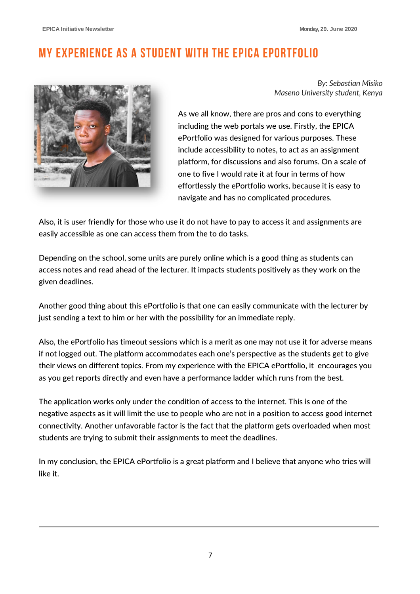# My experience as a student with the EPICA ePortfolio



*By: Sebastian Misiko Maseno University student, Kenya*

As we all know, there are pros and cons to everything including the web portals we use. Firstly, the EPICA ePortfolio was designed for various purposes. These include accessibility to notes, to act as an assignment platform, for discussions and also forums. On a scale of one to five I would rate it at four in terms of how effortlessly the ePortfolio works, because it is easy to navigate and has no complicated procedures.

Also, it is user friendly for those who use it do not have to pay to access it and assignments are easily accessible as one can access them from the to do tasks.

Depending on the school, some units are purely online which is a good thing as students can access notes and read ahead of the lecturer. It impacts students positively as they work on the given deadlines.

Another good thing about this ePortfolio is that one can easily communicate with the lecturer by just sending a text to him or her with the possibility for an immediate reply.

Also, the ePortfolio has timeout sessions which is a merit as one may not use it for adverse means if not logged out. The platform accommodates each one's perspective as the students get to give their views on different topics. From my experience with the EPICA ePortfolio, it encourages you as you get reports directly and even have a performance ladder which runs from the best.

The application works only under the condition of access to the internet. This is one of the negative aspects as it will limit the use to people who are not in a position to access good internet connectivity. Another unfavorable factor is the fact that the platform gets overloaded when most students are trying to submit their assignments to meet the deadlines.

In my conclusion, the EPICA ePortfolio is a great platform and I believe that anyone who tries will like it.